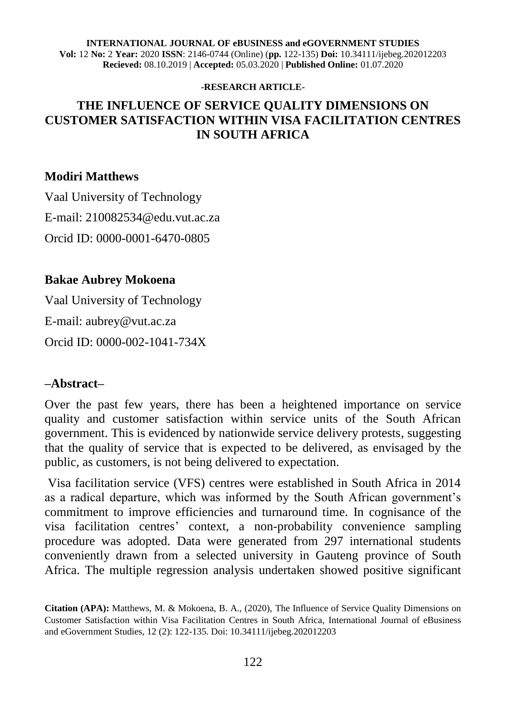#### **INTERNATIONAL JOURNAL OF eBUSINESS and eGOVERNMENT STUDIES Vol:** 12 **No:** 2 **Year:** 2020 **ISSN**: 2146-0744 (Online) (**pp.** 122-135) **Doi:** 10.34111/ijebeg.202012203 **Recieved:** 08.10.2019 | **Accepted:** 05.03.2020 | **Published Online:** 01.07.2020

#### **-RESEARCH ARTICLE-**

## **THE INFLUENCE OF SERVICE QUALITY DIMENSIONS ON CUSTOMER SATISFACTION WITHIN VISA FACILITATION CENTRES IN SOUTH AFRICA**

#### **Modiri Matthews**

Vaal University of Technology E-mail: [210082534@edu.vut.ac.za](mailto:210082534@edu.vut.ac.za) Orcid ID: 0000-0001-6470-0805

#### **Bakae Aubrey Mokoena**

Vaal University of Technology E-mail: [aubrey@vut.ac.za](mailto:aubrey@vut.ac.za) Orcid ID: 0000-002-1041-734X

#### **–Abstract–**

Over the past few years, there has been a heightened importance on service quality and customer satisfaction within service units of the South African government. This is evidenced by nationwide service delivery protests, suggesting that the quality of service that is expected to be delivered, as envisaged by the public, as customers, is not being delivered to expectation.

Visa facilitation service (VFS) centres were established in South Africa in 2014 as a radical departure, which was informed by the South African government's commitment to improve efficiencies and turnaround time. In cognisance of the visa facilitation centres' context, a non-probability convenience sampling procedure was adopted. Data were generated from 297 international students conveniently drawn from a selected university in Gauteng province of South Africa. The multiple regression analysis undertaken showed positive significant

**Citation (APA):** Matthews, M. & Mokoena, B. A., (2020), The Influence of Service Quality Dimensions on Customer Satisfaction within Visa Facilitation Centres in South Africa, International Journal of eBusiness and eGovernment Studies, 12 (2): 122-135. Doi: 10.34111/ijebeg.202012203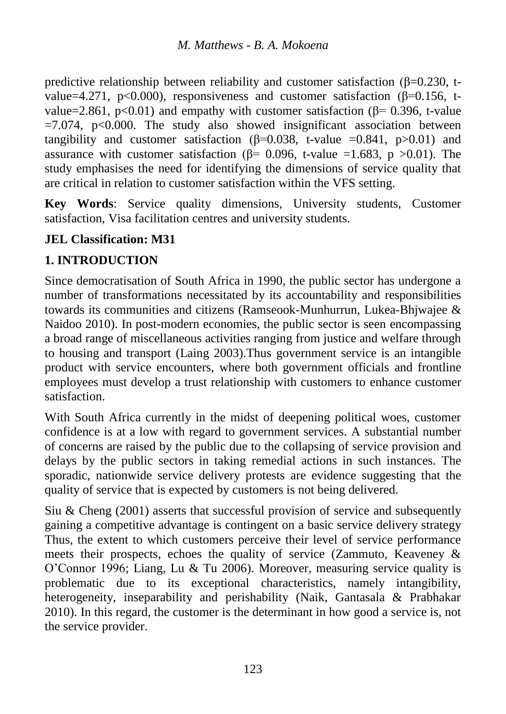predictive relationship between reliability and customer satisfaction  $(\beta=0.230, t$ value=4.271, p<0.000), responsiveness and customer satisfaction ( $\beta$ =0.156, tvalue=2.861,  $p<0.01$ ) and empathy with customer satisfaction ( $\beta$ = 0.396, t-value  $=7.074$ , p<0.000. The study also showed insignificant association between tangibility and customer satisfaction ( $\beta$ =0.038, t-value =0.841, p>0.01) and assurance with customer satisfaction ( $\beta$ = 0.096, t-value =1.683, p >0.01). The study emphasises the need for identifying the dimensions of service quality that are critical in relation to customer satisfaction within the VFS setting.

**Key Words**: Service quality dimensions, University students, Customer satisfaction, Visa facilitation centres and university students.

### **JEL Classification: M31**

### **1. INTRODUCTION**

Since democratisation of South Africa in 1990, the public sector has undergone a number of transformations necessitated by its accountability and responsibilities towards its communities and citizens (Ramseook-Munhurrun, Lukea-Bhjwajee & Naidoo 2010). In post-modern economies, the public sector is seen encompassing a broad range of miscellaneous activities ranging from justice and welfare through to housing and transport (Laing 2003).Thus government service is an intangible product with service encounters, where both government officials and frontline employees must develop a trust relationship with customers to enhance customer satisfaction.

With South Africa currently in the midst of deepening political woes, customer confidence is at a low with regard to government services. A substantial number of concerns are raised by the public due to the collapsing of service provision and delays by the public sectors in taking remedial actions in such instances. The sporadic, nationwide service delivery protests are evidence suggesting that the quality of service that is expected by customers is not being delivered.

Siu & Cheng (2001) asserts that successful provision of service and subsequently gaining a competitive advantage is contingent on a basic service delivery strategy Thus, the extent to which customers perceive their level of service performance meets their prospects, echoes the quality of service (Zammuto, Keaveney & O'Connor 1996; Liang, Lu & Tu 2006). Moreover, measuring service quality is problematic due to its exceptional characteristics, namely intangibility, heterogeneity, inseparability and perishability (Naik, Gantasala & Prabhakar 2010). In this regard, the customer is the determinant in how good a service is, not the service provider.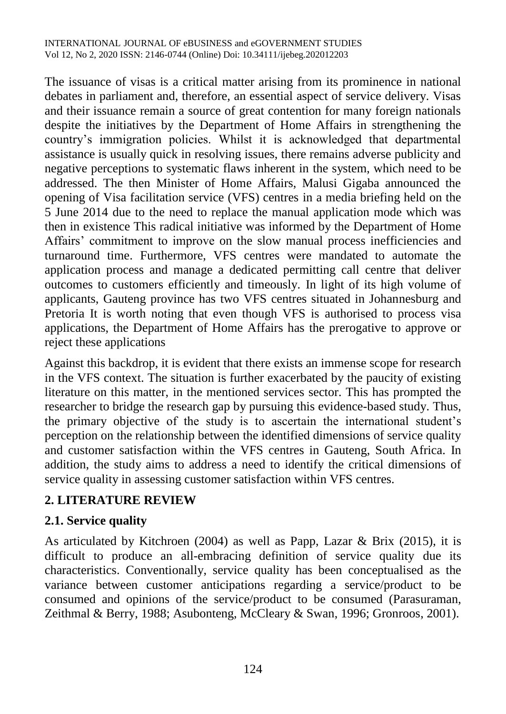The issuance of visas is a critical matter arising from its prominence in national debates in parliament and, therefore, an essential aspect of service delivery. Visas and their issuance remain a source of great contention for many foreign nationals despite the initiatives by the Department of Home Affairs in strengthening the country's immigration policies. Whilst it is acknowledged that departmental assistance is usually quick in resolving issues, there remains adverse publicity and negative perceptions to systematic flaws inherent in the system, which need to be addressed. The then Minister of Home Affairs, Malusi Gigaba announced the opening of Visa facilitation service (VFS) centres in a media briefing held on the 5 June 2014 due to the need to replace the manual application mode which was then in existence This radical initiative was informed by the Department of Home Affairs' commitment to improve on the slow manual process inefficiencies and turnaround time. Furthermore, VFS centres were mandated to automate the application process and manage a dedicated permitting call centre that deliver outcomes to customers efficiently and timeously. In light of its high volume of applicants, Gauteng province has two VFS centres situated in Johannesburg and Pretoria It is worth noting that even though VFS is authorised to process visa applications, the Department of Home Affairs has the prerogative to approve or reject these applications

Against this backdrop, it is evident that there exists an immense scope for research in the VFS context. The situation is further exacerbated by the paucity of existing literature on this matter, in the mentioned services sector. This has prompted the researcher to bridge the research gap by pursuing this evidence-based study. Thus, the primary objective of the study is to ascertain the international student's perception on the relationship between the identified dimensions of service quality and customer satisfaction within the VFS centres in Gauteng, South Africa. In addition, the study aims to address a need to identify the critical dimensions of service quality in assessing customer satisfaction within VFS centres.

## **2. LITERATURE REVIEW**

#### **2.1. Service quality**

As articulated by Kitchroen (2004) as well as Papp, Lazar & Brix (2015), it is difficult to produce an all-embracing definition of service quality due its characteristics. Conventionally, service quality has been conceptualised as the variance between customer anticipations regarding a service/product to be consumed and opinions of the service/product to be consumed (Parasuraman, Zeithmal & Berry, 1988; Asubonteng, McCleary & Swan, 1996; Gronroos, 2001).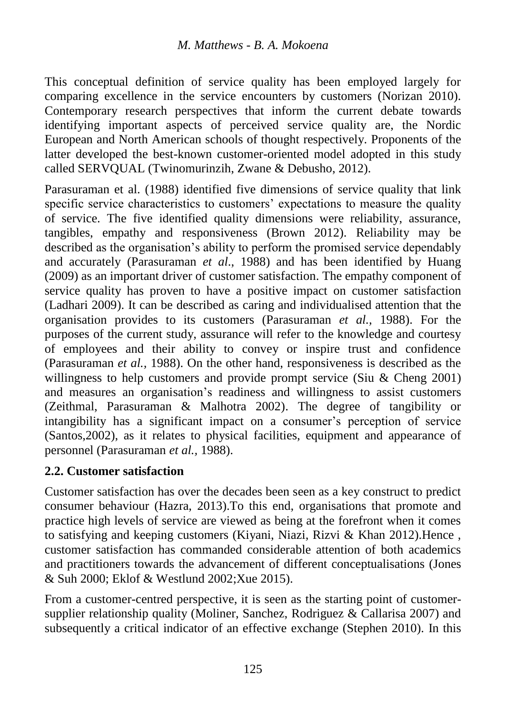This conceptual definition of service quality has been employed largely for comparing excellence in the service encounters by customers (Norizan 2010). Contemporary research perspectives that inform the current debate towards identifying important aspects of perceived service quality are, the Nordic European and North American schools of thought respectively. Proponents of the latter developed the best-known customer-oriented model adopted in this study called SERVQUAL (Twinomurinzih, Zwane & Debusho, 2012).

Parasuraman et al. (1988) identified five dimensions of service quality that link specific service characteristics to customers' expectations to measure the quality of service. The five identified quality dimensions were reliability, assurance, tangibles, empathy and responsiveness (Brown 2012). Reliability may be described as the organisation's ability to perform the promised service dependably and accurately (Parasuraman *et al*., 1988) and has been identified by Huang (2009) as an important driver of customer satisfaction. The empathy component of service quality has proven to have a positive impact on customer satisfaction (Ladhari 2009). It can be described as caring and individualised attention that the organisation provides to its customers (Parasuraman *et al.,* 1988). For the purposes of the current study, assurance will refer to the knowledge and courtesy of employees and their ability to convey or inspire trust and confidence (Parasuraman *et al.,* 1988). On the other hand, responsiveness is described as the willingness to help customers and provide prompt service (Siu & Cheng 2001) and measures an organisation's readiness and willingness to assist customers (Zeithmal, Parasuraman & Malhotra 2002). The degree of tangibility or intangibility has a significant impact on a consumer's perception of service (Santos,2002), as it relates to physical facilities, equipment and appearance of personnel (Parasuraman *et al.,* 1988).

#### **2.2. Customer satisfaction**

Customer satisfaction has over the decades been seen as a key construct to predict consumer behaviour (Hazra, 2013).To this end, organisations that promote and practice high levels of service are viewed as being at the forefront when it comes to satisfying and keeping customers (Kiyani, Niazi, Rizvi & Khan 2012).Hence , customer satisfaction has commanded considerable attention of both academics and practitioners towards the advancement of different conceptualisations (Jones & Suh 2000; Eklof & Westlund 2002;Xue 2015).

From a customer-centred perspective, it is seen as the starting point of customersupplier relationship quality (Moliner, Sanchez, Rodriguez & Callarisa 2007) and subsequently a critical indicator of an effective exchange (Stephen 2010). In this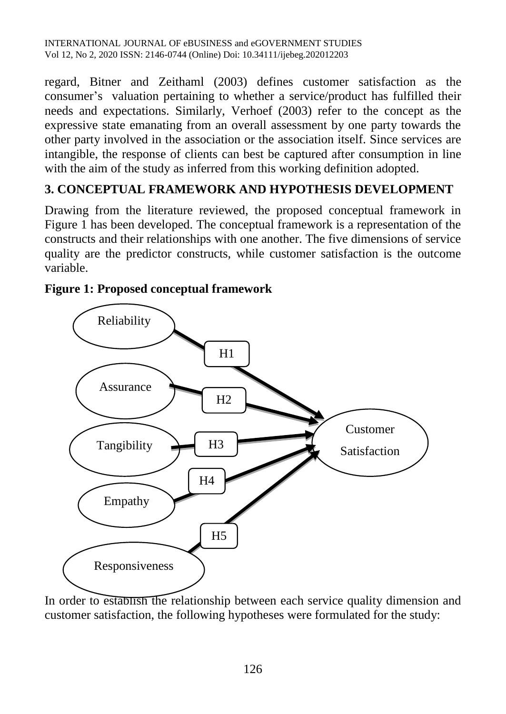regard, Bitner and Zeithaml (2003) defines customer satisfaction as the consumer's valuation pertaining to whether a service/product has fulfilled their needs and expectations. Similarly, Verhoef (2003) refer to the concept as the expressive state emanating from an overall assessment by one party towards the other party involved in the association or the association itself. Since services are intangible, the response of clients can best be captured after consumption in line with the aim of the study as inferred from this working definition adopted.

## **3. CONCEPTUAL FRAMEWORK AND HYPOTHESIS DEVELOPMENT**

Drawing from the literature reviewed, the proposed conceptual framework in Figure 1 has been developed. The conceptual framework is a representation of the constructs and their relationships with one another. The five dimensions of service quality are the predictor constructs, while customer satisfaction is the outcome variable.



### **Figure 1: Proposed conceptual framework**

In order to establish the relationship between each service quality dimension and customer satisfaction, the following hypotheses were formulated for the study: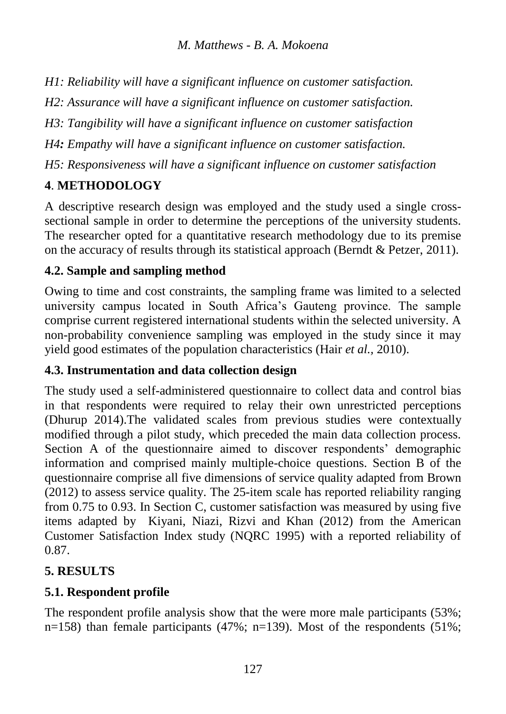*H1: Reliability will have a significant influence on customer satisfaction.*

*H2: Assurance will have a significant influence on customer satisfaction.*

*H3: Tangibility will have a significant influence on customer satisfaction*

*H4: Empathy will have a significant influence on customer satisfaction.*

*H5: Responsiveness will have a significant influence on customer satisfaction*

# **4**. **METHODOLOGY**

A descriptive research design was employed and the study used a single crosssectional sample in order to determine the perceptions of the university students. The researcher opted for a quantitative research methodology due to its premise on the accuracy of results through its statistical approach (Berndt & Petzer, 2011).

## **4.2. Sample and sampling method**

Owing to time and cost constraints, the sampling frame was limited to a selected university campus located in South Africa's Gauteng province. The sample comprise current registered international students within the selected university. A non-probability convenience sampling was employed in the study since it may yield good estimates of the population characteristics (Hair *et al.,* 2010).

## **4.3. Instrumentation and data collection design**

The study used a self-administered questionnaire to collect data and control bias in that respondents were required to relay their own unrestricted perceptions (Dhurup 2014).The validated scales from previous studies were contextually modified through a pilot study, which preceded the main data collection process. Section A of the questionnaire aimed to discover respondents' demographic information and comprised mainly multiple-choice questions. Section B of the questionnaire comprise all five dimensions of service quality adapted from Brown (2012) to assess service quality. The 25-item scale has reported reliability ranging from 0.75 to 0.93. In Section C, customer satisfaction was measured by using five items adapted by Kiyani, Niazi, Rizvi and Khan (2012) from the American Customer Satisfaction Index study (NQRC 1995) with a reported reliability of 0.87.

## **5. RESULTS**

# **5.1. Respondent profile**

The respondent profile analysis show that the were more male participants (53%; n=158) than female participants (47%; n=139). Most of the respondents (51%;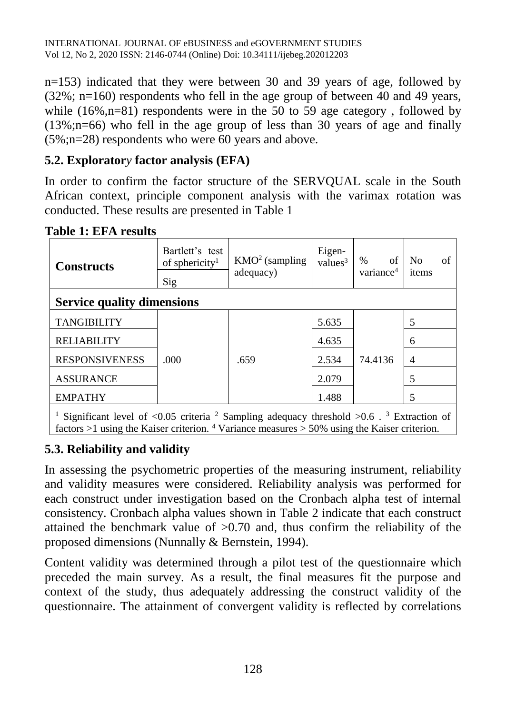n=153) indicated that they were between 30 and 39 years of age, followed by (32%; n=160) respondents who fell in the age group of between 40 and 49 years, while  $(16\%, n=81)$  respondents were in the 50 to 59 age category, followed by (13%;n=66) who fell in the age group of less than 30 years of age and finally (5%;n=28) respondents who were 60 years and above.

## **5.2. Explorator***y* **factor analysis (EFA)**

In order to confirm the factor structure of the SERVQUAL scale in the South African context, principle component analysis with the varimax rotation was conducted. These results are presented in Table 1

**Table 1: EFA results** 

| <b>Constructs</b>                                                                                                                                                                                                   | Bartlett's test<br>of sphericity <sup>1</sup> | $KMO2$ (sampling<br>adequacy) | Eigen-<br>values <sup>3</sup> | of<br>$\%$<br>variance <sup>4</sup> | N <sub>0</sub><br>items | of |
|---------------------------------------------------------------------------------------------------------------------------------------------------------------------------------------------------------------------|-----------------------------------------------|-------------------------------|-------------------------------|-------------------------------------|-------------------------|----|
| Sig<br><b>Service quality dimensions</b>                                                                                                                                                                            |                                               |                               |                               |                                     |                         |    |
| <b>TANGIBILITY</b>                                                                                                                                                                                                  | .000                                          | .659                          | 5.635                         | 74.4136                             | 5                       |    |
| <b>RELIABILITY</b>                                                                                                                                                                                                  |                                               |                               | 4.635                         |                                     | 6                       |    |
| <b>RESPONSIVENESS</b>                                                                                                                                                                                               |                                               |                               | 2.534                         |                                     | $\overline{4}$          |    |
| <b>ASSURANCE</b>                                                                                                                                                                                                    |                                               |                               | 2.079                         |                                     | 5                       |    |
| <b>EMPATHY</b>                                                                                                                                                                                                      |                                               |                               | 1.488                         |                                     | 5                       |    |
| Significant level of <0.05 criteria $^2$ Sampling adequacy threshold >0.6 $\cdot$ $^3$ Extraction of<br>factors $>1$ using the Kaiser criterion. <sup>4</sup> Variance measures $>$ 50% using the Kaiser criterion. |                                               |                               |                               |                                     |                         |    |

## **5.3. Reliability and validity**

In assessing the psychometric properties of the measuring instrument, reliability and validity measures were considered. Reliability analysis was performed for each construct under investigation based on the Cronbach alpha test of internal consistency. Cronbach alpha values shown in Table 2 indicate that each construct attained the benchmark value of >0.70 and, thus confirm the reliability of the proposed dimensions (Nunnally & Bernstein, 1994).

Content validity was determined through a pilot test of the questionnaire which preceded the main survey. As a result, the final measures fit the purpose and context of the study, thus adequately addressing the construct validity of the questionnaire. The attainment of convergent validity is reflected by correlations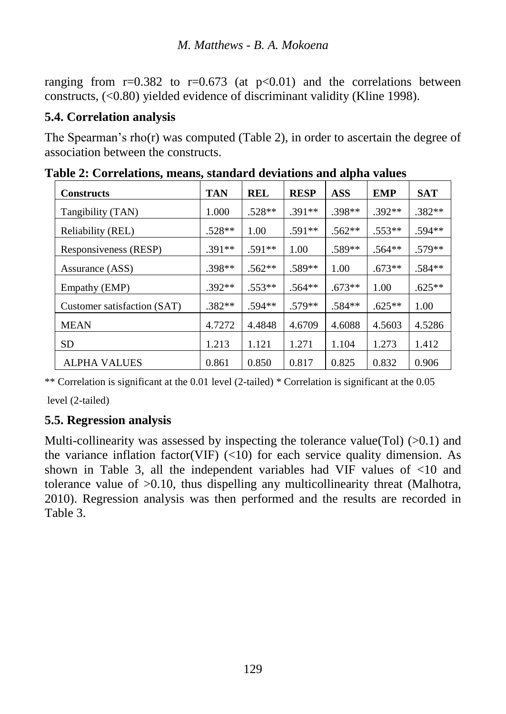ranging from  $r=0.382$  to  $r=0.673$  (at  $p<0.01$ ) and the correlations between constructs, (<0.80) yielded evidence of discriminant validity (Kline 1998).

## **5.4. Correlation analysis**

The Spearman's rho(r) was computed (Table 2), in order to ascertain the degree of association between the constructs.

| <b>Constructs</b>           | <b>TAN</b> | <b>REL</b> | <b>RESP</b> | <b>ASS</b> | <b>EMP</b> | <b>SAT</b> |
|-----------------------------|------------|------------|-------------|------------|------------|------------|
| Tangibility (TAN)           | 1.000      | $.528**$   | $.391**$    | $.398**$   | $.392**$   | $.382**$   |
| Reliability (REL)           | $.528**$   | 1.00       | $.591**$    | $.562**$   | $.553**$   | $.594**$   |
| Responsiveness (RESP)       | $.391**$   | $.591**$   | 1.00        | $.589**$   | $.564**$   | $.579**$   |
| Assurance (ASS)             | $.398**$   | $.562**$   | .589**      | 1.00       | $.673**$   | $.584**$   |
| Empathy (EMP)               | $.392**$   | $.553**$   | $.564**$    | $.673**$   | 1.00       | $.625**$   |
| Customer satisfaction (SAT) | $.382**$   | $.594**$   | $.579**$    | $.584**$   | $.625**$   | 1.00       |
| <b>MEAN</b>                 | 4.7272     | 4.4848     | 4.6709      | 4.6088     | 4.5603     | 4.5286     |
| <b>SD</b>                   | 1.213      | 1.121      | 1.271       | 1.104      | 1.273      | 1.412      |
| <b>ALPHA VALUES</b>         | 0.861      | 0.850      | 0.817       | 0.825      | 0.832      | 0.906      |

**Table 2: Correlations, means, standard deviations and alpha values** 

\*\* Correlation is significant at the 0.01 level (2-tailed) \* Correlation is significant at the 0.05

level (2-tailed)

## **5.5. Regression analysis**

Multi-collinearity was assessed by inspecting the tolerance value(Tol)  $(>0.1)$  and the variance inflation factor(VIF)  $(\langle 10 \rangle)$  for each service quality dimension. As shown in Table 3, all the independent variables had VIF values of <10 and tolerance value of >0.10, thus dispelling any multicollinearity threat (Malhotra, 2010). Regression analysis was then performed and the results are recorded in Table 3.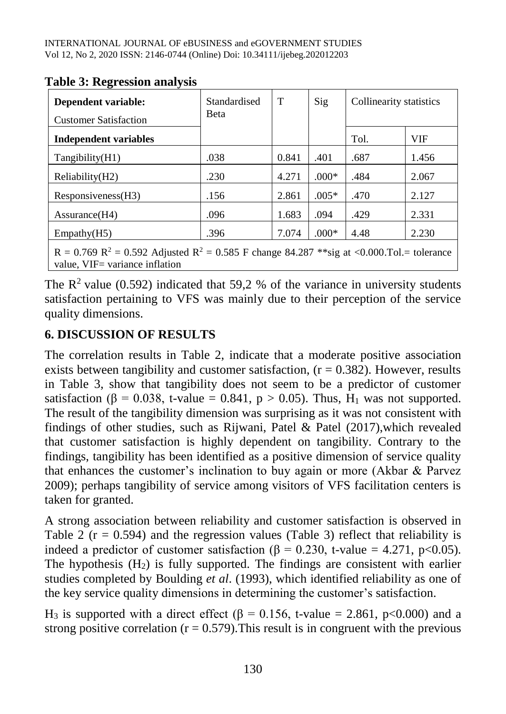| Dependent variable:<br><b>Customer Satisfaction</b>                                                              | Standardised<br><b>Beta</b> | T     | Sig     | Collinearity statistics |       |
|------------------------------------------------------------------------------------------------------------------|-----------------------------|-------|---------|-------------------------|-------|
| Independent variables                                                                                            |                             |       |         | Tol.                    | VIF   |
| Tangibility(H1)                                                                                                  | .038                        | 0.841 | .401    | .687                    | 1.456 |
| Reliability(H2)                                                                                                  | .230                        | 4.271 | $.000*$ | .484                    | 2.067 |
| Responsiveness(H3)                                                                                               | .156                        | 2.861 | $.005*$ | .470                    | 2.127 |
| Assurance (H4)                                                                                                   | .096                        | 1.683 | .094    | .429                    | 2.331 |
| Empathy(H5)                                                                                                      | .396                        | 7.074 | $.000*$ | 4.48                    | 2.230 |
| R = 0.769 R <sup>2</sup> = 0.592 Adjusted R <sup>2</sup> = 0.585 F change 84.287 **sig at <0.000.Tol.= tolerance |                             |       |         |                         |       |

#### **Table 3: Regression analysis**

The  $\mathbb{R}^2$  value (0.592) indicated that 59,2 % of the variance in university students satisfaction pertaining to VFS was mainly due to their perception of the service quality dimensions.

## **6. DISCUSSION OF RESULTS**

 $\vert$  value, VIF= variance inflation

The correlation results in Table 2, indicate that a moderate positive association exists between tangibility and customer satisfaction,  $(r = 0.382)$ . However, results in Table 3, show that tangibility does not seem to be a predictor of customer satisfaction ( $\beta$  = 0.038, t-value = 0.841, p > 0.05). Thus, H<sub>1</sub> was not supported. The result of the tangibility dimension was surprising as it was not consistent with findings of other studies, such as Rijwani, Patel & Patel (2017),which revealed that customer satisfaction is highly dependent on tangibility. Contrary to the findings, tangibility has been identified as a positive dimension of service quality that enhances the customer's inclination to buy again or more (Akbar & Parvez 2009); perhaps tangibility of service among visitors of VFS facilitation centers is taken for granted.

A strong association between reliability and customer satisfaction is observed in Table 2 ( $r = 0.594$ ) and the regression values (Table 3) reflect that reliability is indeed a predictor of customer satisfaction (β = 0.230, t-value = 4.271, p<0.05). The hypothesis  $(H_2)$  is fully supported. The findings are consistent with earlier studies completed by Boulding *et al*. (1993), which identified reliability as one of the key service quality dimensions in determining the customer's satisfaction.

H<sub>3</sub> is supported with a direct effect (β = 0.156, t-value = 2.861, p<0.000) and a strong positive correlation ( $r = 0.579$ ). This result is in congruent with the previous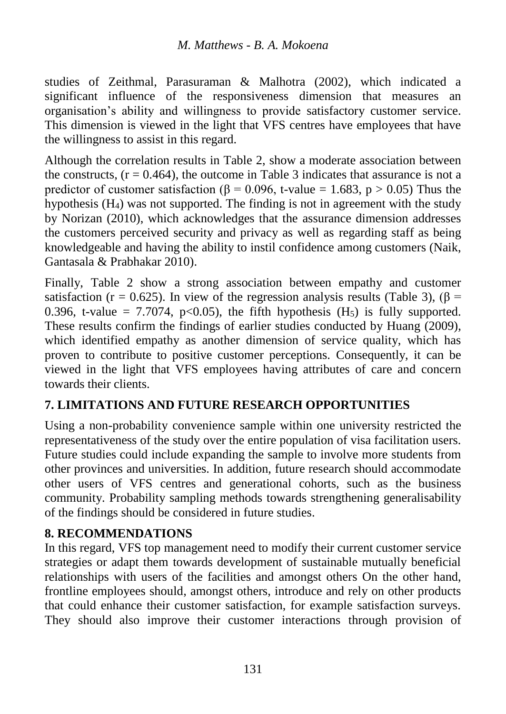studies of Zeithmal, Parasuraman & Malhotra (2002), which indicated a significant influence of the responsiveness dimension that measures an organisation's ability and willingness to provide satisfactory customer service. This dimension is viewed in the light that VFS centres have employees that have the willingness to assist in this regard.

Although the correlation results in Table 2, show a moderate association between the constructs,  $(r = 0.464)$ , the outcome in Table 3 indicates that assurance is not a predictor of customer satisfaction ( $\beta$  = 0.096, t-value = 1.683, p > 0.05) Thus the hypothesis  $(H_4)$  was not supported. The finding is not in agreement with the study by Norizan (2010), which acknowledges that the assurance dimension addresses the customers perceived security and privacy as well as regarding staff as being knowledgeable and having the ability to instil confidence among customers (Naik, Gantasala & Prabhakar 2010).

Finally, Table 2 show a strong association between empathy and customer satisfaction (r = 0.625). In view of the regression analysis results (Table 3), ( $\beta$  = 0.396, t-value = 7.7074, p<0.05), the fifth hypothesis  $(H_5)$  is fully supported. These results confirm the findings of earlier studies conducted by Huang (2009), which identified empathy as another dimension of service quality, which has proven to contribute to positive customer perceptions. Consequently, it can be viewed in the light that VFS employees having attributes of care and concern towards their clients.

## **7. LIMITATIONS AND FUTURE RESEARCH OPPORTUNITIES**

Using a non-probability convenience sample within one university restricted the representativeness of the study over the entire population of visa facilitation users. Future studies could include expanding the sample to involve more students from other provinces and universities. In addition, future research should accommodate other users of VFS centres and generational cohorts, such as the business community. Probability sampling methods towards strengthening generalisability of the findings should be considered in future studies.

## **8. RECOMMENDATIONS**

In this regard, VFS top management need to modify their current customer service strategies or adapt them towards development of sustainable mutually beneficial relationships with users of the facilities and amongst others On the other hand, frontline employees should, amongst others, introduce and rely on other products that could enhance their customer satisfaction, for example satisfaction surveys. They should also improve their customer interactions through provision of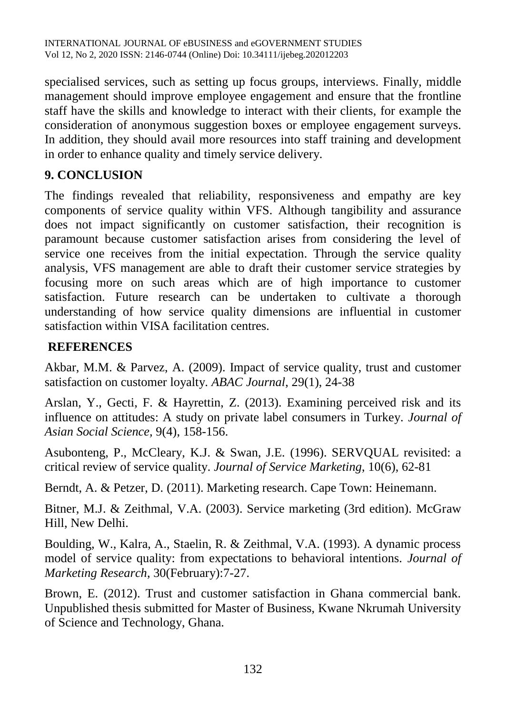specialised services, such as setting up focus groups, interviews. Finally, middle management should improve employee engagement and ensure that the frontline staff have the skills and knowledge to interact with their clients, for example the consideration of anonymous suggestion boxes or employee engagement surveys. In addition, they should avail more resources into staff training and development in order to enhance quality and timely service delivery.

## **9. CONCLUSION**

The findings revealed that reliability, responsiveness and empathy are key components of service quality within VFS. Although tangibility and assurance does not impact significantly on customer satisfaction, their recognition is paramount because customer satisfaction arises from considering the level of service one receives from the initial expectation. Through the service quality analysis, VFS management are able to draft their customer service strategies by focusing more on such areas which are of high importance to customer satisfaction. Future research can be undertaken to cultivate a thorough understanding of how service quality dimensions are influential in customer satisfaction within VISA facilitation centres.

## **REFERENCES**

Akbar, M.M. & Parvez, A. (2009). Impact of service quality, trust and customer satisfaction on customer loyalty*. ABAC Journal*, 29(1), 24-38

Arslan, Y., Gecti, F. & Hayrettin, Z. (2013). Examining perceived risk and its influence on attitudes: A study on private label consumers in Turkey. *Journal of Asian Social Science,* 9(4), 158-156.

Asubonteng, P., McCleary, K.J. & Swan, J.E. (1996). SERVQUAL revisited: a critical review of service quality. *Journal of Service Marketing*, 10(6), 62-81

Berndt, A. & Petzer, D. (2011). Marketing research. Cape Town: Heinemann.

Bitner, M.J. & Zeithmal, V.A. (2003). Service marketing (3rd edition). McGraw Hill, New Delhi.

Boulding, W., Kalra, A., Staelin, R. & Zeithmal, V.A. (1993). A dynamic process model of service quality: from expectations to behavioral intentions. *Journal of Marketing Research*, 30(February):7-27.

Brown, E. (2012). Trust and customer satisfaction in Ghana commercial bank. Unpublished thesis submitted for Master of Business, Kwane Nkrumah University of Science and Technology, Ghana.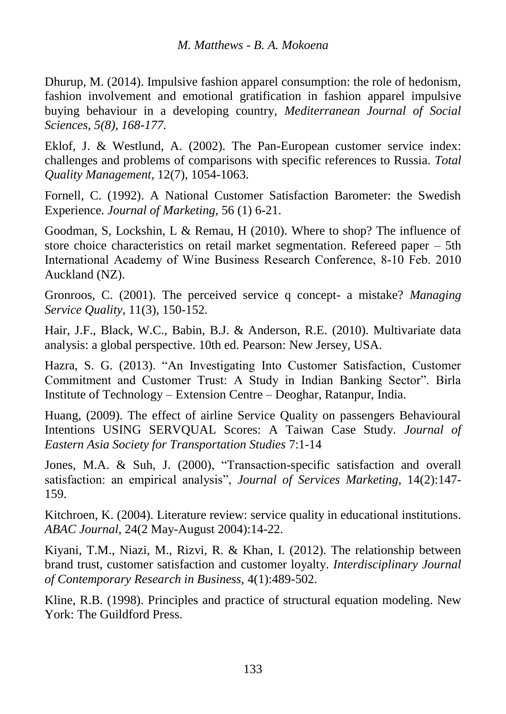Dhurup, M. (2014). Impulsive fashion apparel consumption: the role of hedonism, fashion involvement and emotional gratification in fashion apparel impulsive buying behaviour in a developing country, *Mediterranean Journal of Social Sciences, 5(8), 168-177.* 

Eklof, J. & Westlund, A. (2002). The Pan-European customer service index: challenges and problems of comparisons with specific references to Russia. *Total Quality Management*, 12(7), 1054-1063.

Fornell, C. (1992). A National Customer Satisfaction Barometer: the Swedish Experience. *Journal of Marketing*, 56 (1) 6-21.

Goodman, S, Lockshin, L & Remau, H (2010). Where to shop? The influence of store choice characteristics on retail market segmentation. Refereed paper – 5th International Academy of Wine Business Research Conference, 8‐10 Feb. 2010 Auckland (NZ).

Gronroos, C. (2001). The perceived service q concept- a mistake? *Managing Service Quality*, 11(3), 150-152.

Hair, J.F., Black, W.C., Babin, B.J. & Anderson, R.E. (2010). Multivariate data analysis: a global perspective. 10th ed. Pearson: New Jersey, USA.

Hazra, S. G. (2013). "An Investigating Into Customer Satisfaction, Customer Commitment and Customer Trust: A Study in Indian Banking Sector". Birla Institute of Technology – Extension Centre – Deoghar, Ratanpur, India.

Huang, (2009). The effect of airline Service Quality on passengers Behavioural Intentions USING SERVQUAL Scores: A Taiwan Case Study. *Journal of Eastern Asia Society for Transportation Studies* 7:1-14

Jones, M.A. & Suh, J. (2000), "Transaction-specific satisfaction and overall satisfaction: an empirical analysis", *Journal of Services Marketing*, 14(2):147- 159.

Kitchroen, K. (2004). Literature review: service quality in educational institutions. *ABAC Journal*, 24(2 May-August 2004):14-22.

Kiyani, T.M., Niazi, M., Rizvi, R. & Khan, I. (2012). The relationship between brand trust, customer satisfaction and customer loyalty. *Interdisciplinary Journal of Contemporary Research in Business,* 4(1):489-502.

Kline, R.B. (1998). Principles and practice of structural equation modeling. New York: The Guildford Press.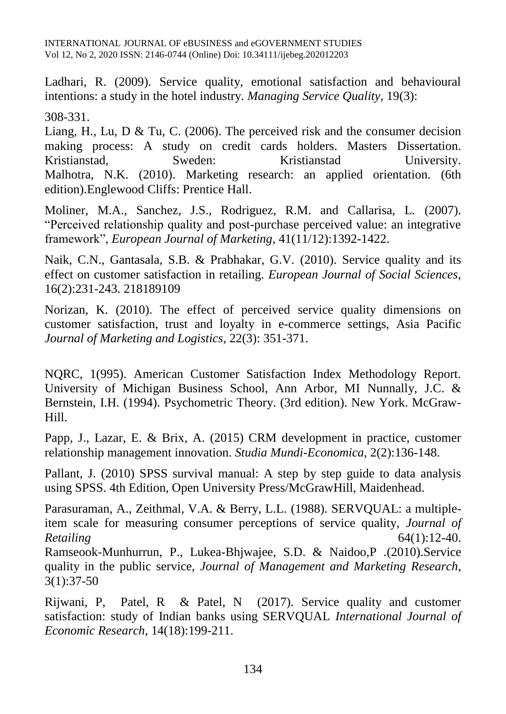INTERNATIONAL JOURNAL OF eBUSINESS and eGOVERNMENT STUDIES Vol 12, No 2, 2020 ISSN: 2146-0744 (Online) Doi: 10.34111/ijebeg.202012203

Ladhari, R. (2009). Service quality, emotional satisfaction and behavioural intentions: a study in the hotel industry. *Managing Service Quality*, 19(3):

308-331.

Liang, H., Lu, D & Tu, C. (2006). The perceived risk and the consumer decision making process: A study on credit cards holders. Masters Dissertation. Kristianstad, Sweden: Kristianstad University. Malhotra, N.K. (2010). Marketing research: an applied orientation. (6th edition).Englewood Cliffs: Prentice Hall.

Moliner, M.A., Sanchez, J.S., Rodriguez, R.M. and Callarisa, L. (2007). "Perceived relationship quality and post-purchase perceived value: an integrative framework", *European Journal of Marketing*, 41(11/12):1392-1422.

Naik, C.N., Gantasala, S.B. & Prabhakar, G.V. (2010). Service quality and its effect on customer satisfaction in retailing. *European Journal of Social Sciences*, 16(2):231-243. 218189109

Norizan, K. (2010). The effect of perceived service quality dimensions on customer satisfaction, trust and loyalty in e-commerce settings, Asia Pacific *Journal of Marketing and Logistics*, 22(3): 351-371.

NQRC, 1(995). American Customer Satisfaction Index Methodology Report. University of Michigan Business School, Ann Arbor, MI Nunnally, J.C. & Bernstein, I.H. (1994). Psychometric Theory. (3rd edition). New York. McGraw-Hill.

Papp, J., Lazar, E. & Brix, A. (2015) CRM development in practice, customer relationship management innovation. *Studia Mundi-Economica*, 2(2):136-148.

Pallant, J. (2010) SPSS survival manual: A step by step guide to data analysis using SPSS. 4th Edition, Open University Press/McGrawHill, Maidenhead.

Parasuraman, A., Zeithmal, V.A. & Berry, L.L. (1988). SERVQUAL: a multipleitem scale for measuring consumer perceptions of service quality, *Journal of Retailing* 64(1):12-40.

Ramseook-Munhurrun, P., Lukea-Bhjwajee, S.D. & Naidoo,P .(2010).Service quality in the public service, *Journal of Management and Marketing Research*, 3(1):37-50

Rijwani, P, Patel, R & Patel, N (2017). Service quality and customer satisfaction: study of Indian banks using SERVQUAL *International Journal of Economic Research*, 14(18):199-211.